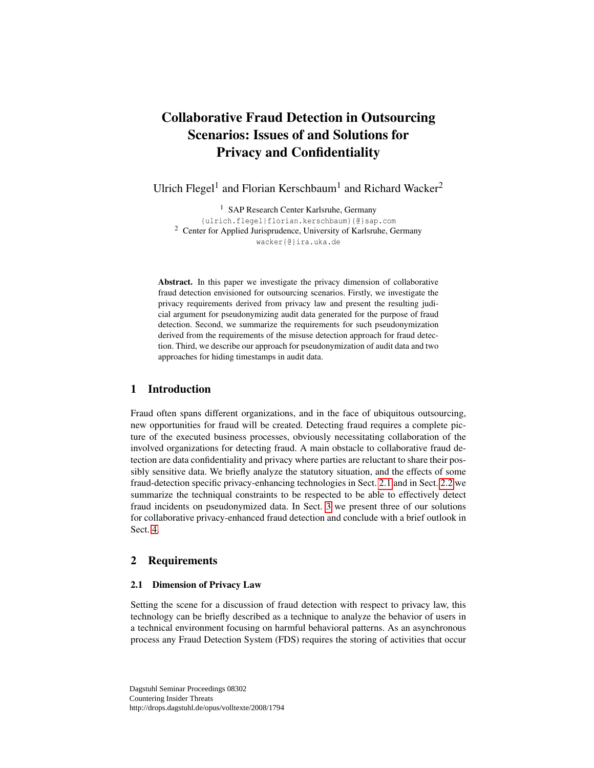# Collaborative Fraud Detection in Outsourcing Scenarios: Issues of and Solutions for Privacy and Confidentiality

Ulrich Flegel<sup>1</sup> and Florian Kerschbaum<sup>1</sup> and Richard Wacker<sup>2</sup>

<sup>1</sup> SAP Research Center Karlsruhe, Germany

{ulrich.flegel|florian.kerschbaum}{@}sap.com <sup>2</sup> Center for Applied Jurisprudence, University of Karlsruhe, Germany wacker{@}ira.uka.de

Abstract. In this paper we investigate the privacy dimension of collaborative fraud detection envisioned for outsourcing scenarios. Firstly, we investigate the privacy requirements derived from privacy law and present the resulting judicial argument for pseudonymizing audit data generated for the purpose of fraud detection. Second, we summarize the requirements for such pseudonymization derived from the requirements of the misuse detection approach for fraud detection. Third, we describe our approach for pseudonymization of audit data and two approaches for hiding timestamps in audit data.

# 1 Introduction

Fraud often spans different organizations, and in the face of ubiquitous outsourcing, new opportunities for fraud will be created. Detecting fraud requires a complete picture of the executed business processes, obviously necessitating collaboration of the involved organizations for detecting fraud. A main obstacle to collaborative fraud detection are data confidentiality and privacy where parties are reluctant to share their possibly sensitive data. We briefly analyze the statutory situation, and the effects of some fraud-detection specific privacy-enhancing technologies in Sect. [2.1](#page-0-0) and in Sect. [2.2](#page-2-0) we summarize the techniqual constraints to be respected to be able to effectively detect fraud incidents on pseudonymized data. In Sect. [3](#page-2-1) we present three of our solutions for collaborative privacy-enhanced fraud detection and conclude with a brief outlook in Sect. [4.](#page-4-0)

## 2 Requirements

### <span id="page-0-0"></span>2.1 Dimension of Privacy Law

Setting the scene for a discussion of fraud detection with respect to privacy law, this technology can be briefly described as a technique to analyze the behavior of users in a technical environment focusing on harmful behavioral patterns. As an asynchronous process any Fraud Detection System (FDS) requires the storing of activities that occur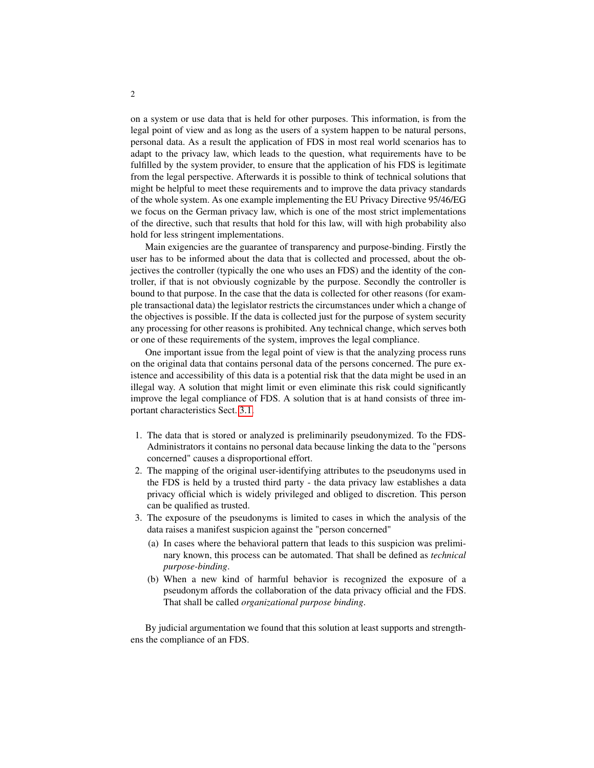on a system or use data that is held for other purposes. This information, is from the legal point of view and as long as the users of a system happen to be natural persons, personal data. As a result the application of FDS in most real world scenarios has to adapt to the privacy law, which leads to the question, what requirements have to be fulfilled by the system provider, to ensure that the application of his FDS is legitimate from the legal perspective. Afterwards it is possible to think of technical solutions that might be helpful to meet these requirements and to improve the data privacy standards of the whole system. As one example implementing the EU Privacy Directive 95/46/EG we focus on the German privacy law, which is one of the most strict implementations of the directive, such that results that hold for this law, will with high probability also hold for less stringent implementations.

Main exigencies are the guarantee of transparency and purpose-binding. Firstly the user has to be informed about the data that is collected and processed, about the objectives the controller (typically the one who uses an FDS) and the identity of the controller, if that is not obviously cognizable by the purpose. Secondly the controller is bound to that purpose. In the case that the data is collected for other reasons (for example transactional data) the legislator restricts the circumstances under which a change of the objectives is possible. If the data is collected just for the purpose of system security any processing for other reasons is prohibited. Any technical change, which serves both or one of these requirements of the system, improves the legal compliance.

One important issue from the legal point of view is that the analyzing process runs on the original data that contains personal data of the persons concerned. The pure existence and accessibility of this data is a potential risk that the data might be used in an illegal way. A solution that might limit or even eliminate this risk could significantly improve the legal compliance of FDS. A solution that is at hand consists of three important characteristics Sect. [3.1.](#page-2-2)

- 1. The data that is stored or analyzed is preliminarily pseudonymized. To the FDS-Administrators it contains no personal data because linking the data to the "persons concerned" causes a disproportional effort.
- 2. The mapping of the original user-identifying attributes to the pseudonyms used in the FDS is held by a trusted third party - the data privacy law establishes a data privacy official which is widely privileged and obliged to discretion. This person can be qualified as trusted.
- 3. The exposure of the pseudonyms is limited to cases in which the analysis of the data raises a manifest suspicion against the "person concerned"
	- (a) In cases where the behavioral pattern that leads to this suspicion was preliminary known, this process can be automated. That shall be defined as *technical purpose-binding*.
	- (b) When a new kind of harmful behavior is recognized the exposure of a pseudonym affords the collaboration of the data privacy official and the FDS. That shall be called *organizational purpose binding*.

By judicial argumentation we found that this solution at least supports and strengthens the compliance of an FDS.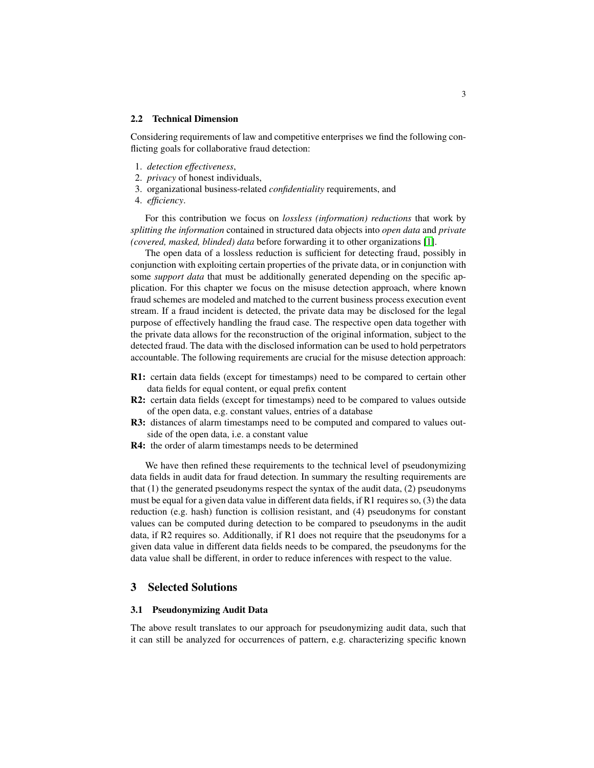#### <span id="page-2-0"></span>2.2 Technical Dimension

Considering requirements of law and competitive enterprises we find the following conflicting goals for collaborative fraud detection:

- 1. *detection effectiveness*,
- 2. *privacy* of honest individuals,
- 3. organizational business-related *confidentiality* requirements, and
- 4. *efficiency*.

For this contribution we focus on *lossless (information) reductions* that work by *splitting the information* contained in structured data objects into *open data* and *private (covered, masked, blinded) data* before forwarding it to other organizations [\[1\]](#page-4-1).

The open data of a lossless reduction is sufficient for detecting fraud, possibly in conjunction with exploiting certain properties of the private data, or in conjunction with some *support data* that must be additionally generated depending on the specific application. For this chapter we focus on the misuse detection approach, where known fraud schemes are modeled and matched to the current business process execution event stream. If a fraud incident is detected, the private data may be disclosed for the legal purpose of effectively handling the fraud case. The respective open data together with the private data allows for the reconstruction of the original information, subject to the detected fraud. The data with the disclosed information can be used to hold perpetrators accountable. The following requirements are crucial for the misuse detection approach:

- R1: certain data fields (except for timestamps) need to be compared to certain other data fields for equal content, or equal prefix content
- R2: certain data fields (except for timestamps) need to be compared to values outside of the open data, e.g. constant values, entries of a database
- R3: distances of alarm timestamps need to be computed and compared to values outside of the open data, i.e. a constant value
- R4: the order of alarm timestamps needs to be determined

We have then refined these requirements to the technical level of pseudonymizing data fields in audit data for fraud detection. In summary the resulting requirements are that  $(1)$  the generated pseudonyms respect the syntax of the audit data,  $(2)$  pseudonyms must be equal for a given data value in different data fields, if R1 requires so, (3) the data reduction (e.g. hash) function is collision resistant, and (4) pseudonyms for constant values can be computed during detection to be compared to pseudonyms in the audit data, if R2 requires so. Additionally, if R1 does not require that the pseudonyms for a given data value in different data fields needs to be compared, the pseudonyms for the data value shall be different, in order to reduce inferences with respect to the value.

## <span id="page-2-1"></span>3 Selected Solutions

#### <span id="page-2-2"></span>3.1 Pseudonymizing Audit Data

The above result translates to our approach for pseudonymizing audit data, such that it can still be analyzed for occurrences of pattern, e.g. characterizing specific known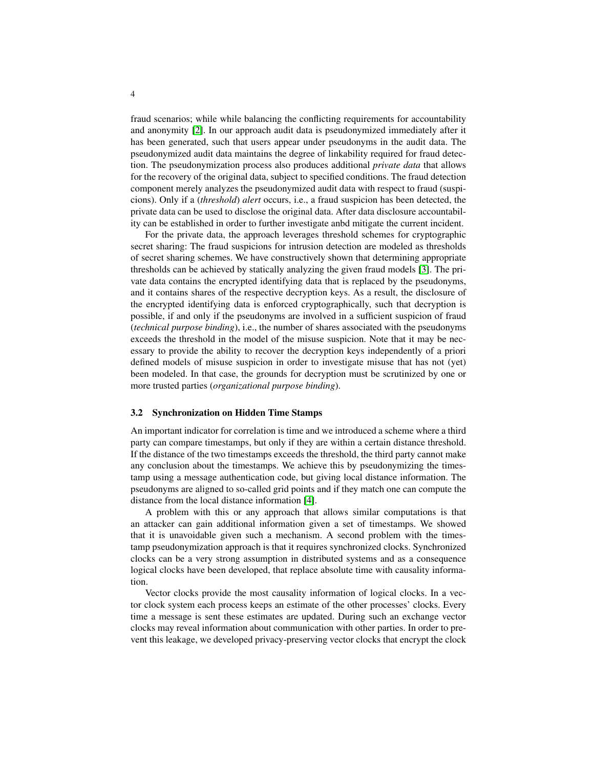fraud scenarios; while while balancing the conflicting requirements for accountability and anonymity [\[2\]](#page-4-2). In our approach audit data is pseudonymized immediately after it has been generated, such that users appear under pseudonyms in the audit data. The pseudonymized audit data maintains the degree of linkability required for fraud detection. The pseudonymization process also produces additional *private data* that allows for the recovery of the original data, subject to specified conditions. The fraud detection component merely analyzes the pseudonymized audit data with respect to fraud (suspicions). Only if a (*threshold*) *alert* occurs, i.e., a fraud suspicion has been detected, the private data can be used to disclose the original data. After data disclosure accountability can be established in order to further investigate anbd mitigate the current incident.

For the private data, the approach leverages threshold schemes for cryptographic secret sharing: The fraud suspicions for intrusion detection are modeled as thresholds of secret sharing schemes. We have constructively shown that determining appropriate thresholds can be achieved by statically analyzing the given fraud models [\[3\]](#page-4-3). The private data contains the encrypted identifying data that is replaced by the pseudonyms, and it contains shares of the respective decryption keys. As a result, the disclosure of the encrypted identifying data is enforced cryptographically, such that decryption is possible, if and only if the pseudonyms are involved in a sufficient suspicion of fraud (*technical purpose binding*), i.e., the number of shares associated with the pseudonyms exceeds the threshold in the model of the misuse suspicion. Note that it may be necessary to provide the ability to recover the decryption keys independently of a priori defined models of misuse suspicion in order to investigate misuse that has not (yet) been modeled. In that case, the grounds for decryption must be scrutinized by one or more trusted parties (*organizational purpose binding*).

#### 3.2 Synchronization on Hidden Time Stamps

An important indicator for correlation is time and we introduced a scheme where a third party can compare timestamps, but only if they are within a certain distance threshold. If the distance of the two timestamps exceeds the threshold, the third party cannot make any conclusion about the timestamps. We achieve this by pseudonymizing the timestamp using a message authentication code, but giving local distance information. The pseudonyms are aligned to so-called grid points and if they match one can compute the distance from the local distance information [\[4\]](#page-4-4).

A problem with this or any approach that allows similar computations is that an attacker can gain additional information given a set of timestamps. We showed that it is unavoidable given such a mechanism. A second problem with the timestamp pseudonymization approach is that it requires synchronized clocks. Synchronized clocks can be a very strong assumption in distributed systems and as a consequence logical clocks have been developed, that replace absolute time with causality information.

Vector clocks provide the most causality information of logical clocks. In a vector clock system each process keeps an estimate of the other processes' clocks. Every time a message is sent these estimates are updated. During such an exchange vector clocks may reveal information about communication with other parties. In order to prevent this leakage, we developed privacy-preserving vector clocks that encrypt the clock